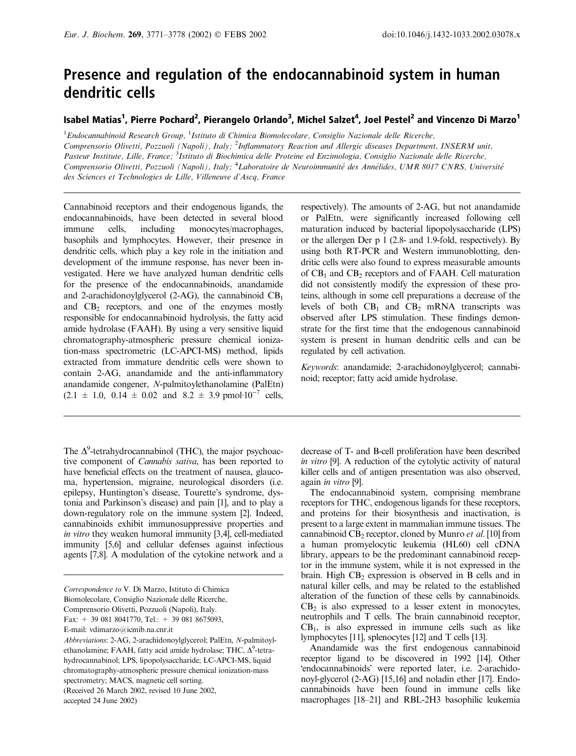# Presence and regulation of the endocannabinoid system in human dendritic cells

# Isabel Matias<sup>1</sup>, Pierre Pochard<sup>2</sup>, Pierangelo Orlando<sup>3</sup>, Michel Salzet<sup>4</sup>, Joel Pestel<sup>2</sup> and Vincenzo Di Marzo<sup>1</sup>

<sup>1</sup>Endocannabinoid Research Group, <sup>1</sup>Istituto di Chimica Biomolecolare, Consiglio Nazionale delle Ricerche, Comprensorio Olivetti, Pozzuoli (Napoli), Italy; <sup>2</sup>Inflammatory Reaction and Allergic diseases Department, INSERM unit, Pasteur Institute, Lille, France; <sup>3</sup>Istituto di Biochimica delle Proteine ed Enzimologia, Consiglio Nazionale delle Ricerche, Comprensorio Olivetti, Pozzuoli (Napoli), Italy; <sup>4</sup>Laboratoire de Neuroimmunité des Annélides, UMR 8017 CNRS, Université des Sciences et Technologies de Lille, Villeneuve d'Ascq, France

Cannabinoid receptors and their endogenous ligands, the endocannabinoids, have been detected in several blood immune cells, including monocytes/macrophages, basophils and lymphocytes. However, their presence in dendritic cells, which play a key role in the initiation and development of the immune response, has never been investigated. Here we have analyzed human dendritic cells for the presence of the endocannabinoids, anandamide and 2-arachidonoylglycerol (2-AG), the cannabinoid  $CB<sub>1</sub>$ and  $CB<sub>2</sub>$  receptors, and one of the enzymes mostly responsible for endocannabinoid hydrolysis, the fatty acid amide hydrolase (FAAH). By using a very sensitive liquid chromatography-atmospheric pressure chemical ionization-mass spectrometric (LC-APCI-MS) method, lipids extracted from immature dendritic cells were shown to contain 2-AG, anandamide and the anti-inflammatory anandamide congener, N-palmitoylethanolamine (PalEtn)  $(2.1 \pm 1.0, 0.14 \pm 0.02 \text{ and } 8.2 \pm 3.9 \text{ pmol·10}^{-7} \text{ cells},$ 

The  $\Delta^9$ -tetrahydrocannabinol (THC), the major psychoactive component of Cannabis sativa, has been reported to have beneficial effects on the treatment of nausea, glaucoma, hypertension, migraine, neurological disorders (i.e. epilepsy, Huntington's disease, Tourette's syndrome, dystonia and Parkinson's disease) and pain [1], and to play a down-regulatory role on the immune system [2]. Indeed, cannabinoids exhibit immunosuppressive properties and in vitro they weaken humoral immunity [3,4], cell-mediated immunity [5,6] and cellular defenses against infectious agents [7,8]. A modulation of the cytokine network and a

Biomolecolare, Consiglio Nazionale delle Ricerche,

respectively). The amounts of 2-AG, but not anandamide or PalEtn, were significantly increased following cell maturation induced by bacterial lipopolysaccharide (LPS) or the allergen Der p 1 (2.8-and 1.9-fold, respectively). By using both RT-PCR and Western immunoblotting, dendritic cells were also found to express measurable amounts of  $CB_1$  and  $CB_2$  receptors and of FAAH. Cell maturation did not consistently modify the expression of these proteins, although in some cell preparations a decrease of the levels of both  $CB_1$  and  $CB_2$  mRNA transcripts was observed after LPS stimulation. These findings demonstrate for the first time that the endogenous cannabinoid system is present in human dendritic cells and can be regulated by cell activation.

Keywords: anandamide; 2-arachidonoylglycerol; cannabinoid; receptor; fatty acid amide hydrolase.

decrease of T-and B-cell proliferation have been described in vitro [9]. A reduction of the cytolytic activity of natural killer cells and of antigen presentation was also observed, again in vitro [9].

The endocannabinoid system, comprising membrane receptors for THC, endogenous ligands for these receptors, and proteins for their biosynthesis and inactivation, is present to a large extent in mammalian immune tissues. The cannabinoid  $CB_2$  receptor, cloned by Munro et al. [10] from a human promyelocytic leukemia (HL60) cell cDNA library, appears to be the predominant cannabinoid receptor in the immune system, while it is not expressed in the brain. High  $CB_2$  expression is observed in B cells and in natural killer cells, and may be related to the established alteration of the function of these cells by cannabinoids.  $CB<sub>2</sub>$  is also expressed to a lesser extent in monocytes, neutrophils and T cells. The brain cannabinoid receptor,  $CB<sub>1</sub>$ , is also expressed in immune cells such as like lymphocytes [11], splenocytes [12] and T cells [13].

Anandamide was the first endogenous cannabinoid receptor ligand to be discovered in 1992 [14]. Other 'endocannabinoids' were reported later, i.e. 2-arachidonoyl-glycerol (2-AG) [15,16] and noladin ether [17]. Endocannabinoids have been found in immune cells like macrophages [18–21] and RBL-2H3 basophilic leukemia

Correspondence to V. Di Marzo, Istituto di Chimica

Comprensorio Olivetti, Pozzuoli (Napoli), Italy.

Fax: + 39 081 8041770, Tel.: + 39 081 8675093,

E-mail: vdimarzo@icmib.na.cnr.it

Abbreviations: 2-AG, 2-arachidonoylglycerol; PalEtn, N-palmitoylethanolamine; FAAH, fatty acid amide hydrolase; THC,  $\Delta^9$ -tetrahydrocannabinol; LPS, lipopolysaccharide; LC-APCI-MS, liquid chromatography-atmospheric pressure chemical ionization-mass spectrometry; MACS, magnetic cell sorting.

<sup>(</sup>Received 26 March 2002, revised 10 June 2002,

accepted 24 June 2002)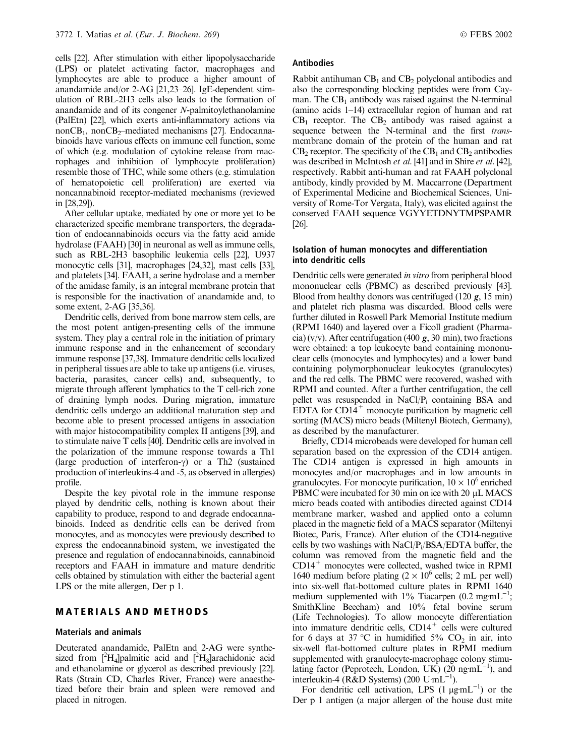cells [22]. After stimulation with either lipopolysaccharide (LPS) or platelet activating factor, macrophages and lymphocytes are able to produce a higher amount of anandamide and/or 2-AG [21,23–26]. IgE-dependent stimulation of RBL-2H3 cells also leads to the formation of anandamide and of its congener N-palmitoylethanolamine (PalEtn) [22], which exerts anti-inflammatory actions via non $CB_1$ , non $CB_2$ –mediated mechanisms [27]. Endocannabinoids have various effects on immune cell function, some of which (e.g. modulation of cytokine release from macrophages and inhibition of lymphocyte proliferation) resemble those of THC, while some others (e.g. stimulation of hematopoietic cell proliferation) are exerted via noncannabinoid receptor-mediated mechanisms (reviewed in [28,29]).

After cellular uptake, mediated by one or more yet to be characterized specific membrane transporters, the degradation of endocannabinoids occurs via the fatty acid amide hydrolase (FAAH) [30] in neuronal as well as immune cells, such as RBL-2H3 basophilic leukemia cells [22], U937 monocytic cells [31], macrophages [24,32], mast cells [33], and platelets [34]. FAAH, a serine hydrolase and a member of the amidase family, is an integral membrane protein that is responsible for the inactivation of anandamide and, to some extent, 2-AG [35,36].

Dendritic cells, derived from bone marrow stem cells, are the most potent antigen-presenting cells of the immune system. They play a central role in the initiation of primary immune response and in the enhancement of secondary immune response [37,38]. Immature dendritic cells localized in peripheral tissues are able to take up antigens (i.e. viruses, bacteria, parasites, cancer cells) and, subsequently, to migrate through afferent lymphatics to the T cell-rich zone of draining lymph nodes. During migration, immature dendritic cells undergo an additional maturation step and become able to present processed antigens in association with major histocompatibility complex II antigens [39], and to stimulate naive T cells [40]. Dendritic cells are involved in the polarization of the immune response towards a Th1 (large production of interferon- $\gamma$ ) or a Th2 (sustained production of interleukins-4 and -5, as observed in allergies) profile.

Despite the key pivotal role in the immune response played by dendritic cells, nothing is known about their capability to produce, respond to and degrade endocannabinoids. Indeed as dendritic cells can be derived from monocytes, and as monocytes were previously described to express the endocannabinoid system, we investigated the presence and regulation of endocannabinoids, cannabinoid receptors and FAAH in immature and mature dendritic cells obtained by stimulation with either the bacterial agent LPS or the mite allergen, Der p 1.

## MATERIALS AND METHODS

#### Materials and animals

Deuterated anandamide, PalEtn and 2-AG were synthesized from  $[^{2}H_{4}]$ palmitic acid and  $[^{2}H_{8}]$ arachidonic acid and ethanolamine or glycerol as described previously [22]. Rats (Strain CD, Charles River, France) were anaesthetized before their brain and spleen were removed and placed in nitrogen.

#### Antibodies

Rabbit antihuman  $CB_1$  and  $CB_2$  polyclonal antibodies and also the corresponding blocking peptides were from Cayman. The  $CB_1$  antibody was raised against the N-terminal (amino acids 1–14) extracellular region of human and rat  $CB<sub>1</sub>$  receptor. The  $CB<sub>2</sub>$  antibody was raised against a sequence between the N-terminal and the first *trans*membrane domain of the protein of the human and rat  $CB_2$  receptor. The specificity of the  $CB_1$  and  $CB_2$  antibodies was described in McIntosh et al. [41] and in Shire et al. [42], respectively. Rabbit anti-human and rat FAAH polyclonal antibody, kindly provided by M. Maccarrone (Department of Experimental Medicine and Biochemical Sciences, University of Rome-Tor Vergata, Italy), was elicited against the conserved FAAH sequence VGYYETDNYTMPSPAMR [26].

#### Isolation of human monocytes and differentiation into dendritic cells

Dendritic cells were generated in vitro from peripheral blood mononuclear cells (PBMC) as described previously [43]. Blood from healthy donors was centrifuged  $(120 g, 15 min)$ and platelet rich plasma was discarded. Blood cells were further diluted in Roswell Park Memorial Institute medium (RPMI 1640) and layered over a Ficoll gradient (Pharmacia) (v/v). After centrifugation (400  $g$ , 30 min), two fractions were obtained: a top leukocyte band containing mononuclear cells (monocytes and lymphocytes) and a lower band containing polymorphonuclear leukocytes (granulocytes) and the red cells. The PBMC were recovered, washed with RPMI and counted. After a further centrifugation, the cell pellet was resuspended in  $NaCl/P<sub>i</sub>$  containing BSA and EDTA for  $CD14<sup>+</sup>$  monocyte purification by magnetic cell sorting (MACS) micro beads (Miltenyl Biotech, Germany), as described by the manufacturer.

Briefly, CD14 microbeads were developed for human cell separation based on the expression of the CD14 antigen. The CD14 antigen is expressed in high amounts in monocytes and/or macrophages and in low amounts in granulocytes. For monocyte purification,  $10 \times 10^6$  enriched PBMC were incubated for 30 min on ice with 20  $\mu$ L MACS micro beads coated with antibodies directed against CD14 membrane marker, washed and applied onto a column placed in the magnetic field of a MACS separator (Miltenyi Biotec, Paris, France). After elution of the CD14-negative cells by two washings with NaCl/Pi /BSA/EDTA buffer, the column was removed from the magnetic field and the  $CD14<sup>+</sup>$  monocytes were collected, washed twice in RPMI 1640 medium before plating  $(2 \times 10^6 \text{ cells}; 2 \text{ mL per well})$ into six-well flat-bottomed culture plates in RPMI 1640 medium supplemented with  $1\%$  Tiacarpen (0.2 mg·mL<sup>-1</sup>; SmithKline Beecham) and 10% fetal bovine serum (Life Technologies). To allow monocyte differentiation into immature dendritic cells,  $CD14<sup>+</sup>$  cells were cultured for 6 days at 37 °C in humidified 5%  $CO<sub>2</sub>$  in air, into six-well flat-bottomed culture plates in RPMI medium supplemented with granulocyte-macrophage colony stimulating factor (Peprotech, London, UK)  $(20 \text{ ng} \cdot \text{mL}^{-1})$ , and interleukin-4 (R&D Systems) (200  $U$ mL<sup>-1</sup>).

For dendritic cell activation, LPS  $(1 \mu g m L^{-1})$  or the Der p 1 antigen (a major allergen of the house dust mite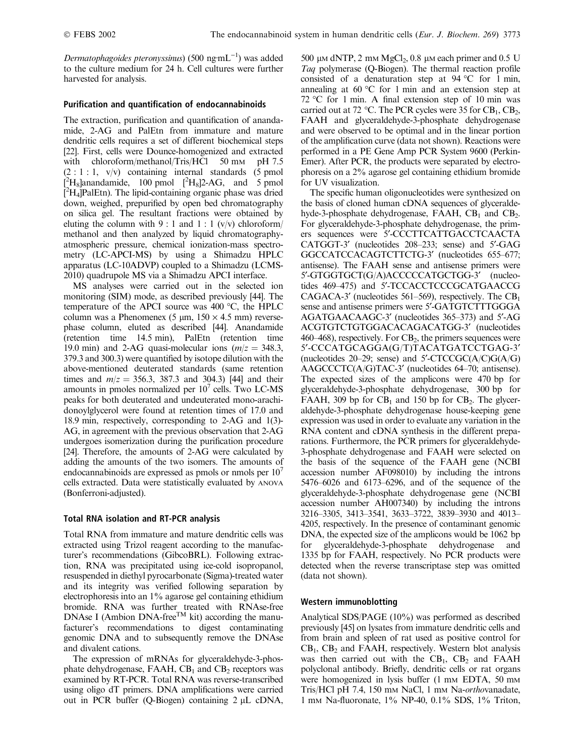Dermatophagoides pteronyssinus) (500 ng·m $L^{-1}$ ) was added to the culture medium for 24 h. Cell cultures were further harvested for analysis.

## Purification and quantification of endocannabinoids

The extraction, purification and quantification of anandamide, 2-AG and PalEtn from immature and mature dendritic cells requires a set of different biochemical steps [22]. First, cells were Dounce-homogenized and extracted with chloroform/methanol/Tris/HCl 50 mm pH 7.5  $(2: 1: 1, v/v)$  containing internal standards  $(5 \text{ pmol})$  $\rm \tilde{L}^2H_8$ ]anandamide, 100 pmol  $\rm \tilde{L}^2H_8$ ]2-AG, and 5 pmol  $\left[{}^{2}H_{4}\right]$ PalEtn). The lipid-containing organic phase was dried down, weighed, prepurified by open bed chromatography on silica gel. The resultant fractions were obtained by eluting the column with  $9:1$  and  $1:1$  (v/v) chloroform/ methanol and then analyzed by liquid chromatographyatmospheric pressure, chemical ionization-mass spectrometry (LC-APCI-MS) by using a Shimadzu HPLC apparatus (LC-10ADVP) coupled to a Shimadzu (LCMS-2010) quadrupole MS via a Shimadzu APCI interface.

MS analyses were carried out in the selected ion monitoring (SIM) mode, as described previously [44]. The temperature of the APCI source was  $400^{\circ}$ C, the HPLC column was a Phenomenex (5  $\mu$ m, 150  $\times$  4.5 mm) reversephase column, eluted as described [44]. Anandamide (retention time 14.5 min), PalEtn (retention time 19.0 min) and 2-AG quasi-molecular ions  $(m/z = 348.3,$ 379.3 and 300.3) were quantified by isotope dilution with the above-mentioned deuterated standards (same retention times and  $m/z = 356.3$ , 387.3 and 304.3) [44] and their amounts in pmoles normalized per  $10<sup>7</sup>$  cells. Two LC-MS peaks for both deuterated and undeuterated mono-arachidonoylglycerol were found at retention times of 17.0 and 18.9 min, respectively, corresponding to 2-AG and 1(3)- AG, in agreement with the previous observation that 2-AG undergoes isomerization during the purification procedure [24]. Therefore, the amounts of 2-AG were calculated by adding the amounts of the two isomers. The amounts of endocannabinoids are expressed as pmols or nmols per  $10<sup>7</sup>$ cells extracted. Data were statistically evaluated by ANOVA (Bonferroni-adjusted).

# Total RNA isolation and RT-PCR analysis

Total RNA from immature and mature dendritic cells was extracted using Trizol reagent according to the manufacturer's recommendations (GibcoBRL). Following extraction, RNA was precipitated using ice-cold isopropanol, resuspended in diethyl pyrocarbonate (Sigma)-treated water and its integrity was verified following separation by electrophoresis into an 1% agarose gel containing ethidium bromide. RNA was further treated with RNAse-free DNAse I (Ambion DNA-free<sup>TM</sup> kit) according the manufacturer's recommendations to digest contaminating genomic DNA and to subsequently remove the DNAse and divalent cations.

The expression of mRNAs for glyceraldehyde-3-phosphate dehydrogenase, FAAH,  $CB<sub>1</sub>$  and  $CB<sub>2</sub>$  receptors was examined by RT-PCR. Total RNA was reverse-transcribed using oligo dT primers. DNA amplifications were carried out in PCR buffer (Q-Biogen) containing  $2 \mu L$  cDNA,

500  $\mu$ M dNTP, 2 mM MgCl<sub>2</sub>, 0.8  $\mu$ M each primer and 0.5 U Taq polymerase (Q-Biogen). The thermal reaction profile consisted of a denaturation step at  $94 °C$  for 1 min, annealing at  $60^{\circ}$ C for 1 min and an extension step at 72 °C for 1 min. A final extension step of 10 min was carried out at 72 °C. The PCR cycles were 35 for  $CB_1$ ,  $CB_2$ , FAAH and glyceraldehyde-3-phosphate dehydrogenase and were observed to be optimal and in the linear portion of the amplification curve (data not shown). Reactions were performed in a PE Gene Amp PCR System 9600 (Perkin-Emer). After PCR, the products were separated by electrophoresis on a 2% agarose gel containing ethidium bromide for UV visualization.

The specific human oligonucleotides were synthesized on the basis of cloned human cDNA sequences of glyceraldehyde-3-phosphate dehydrogenase, FAAH,  $CB<sub>1</sub>$  and  $CB<sub>2</sub>$ . For glyceraldehyde-3-phosphate dehydrogenase, the primers sequences were 5¢-CCCTTCATTGACCTCAACTA CATGGT-3' (nucleotides 208–233; sense) and 5'-GAG GGCCATCCACAGTCTTCTG-3' (nucleotides 655-677; antisense). The FAAH sense and antisense primers were 5'-GTGGTGCT(G/A)ACCCCCATGCTGG-3' (nucleotides 469-475) and 5'-TCCACCTCCCGCATGAACCG CAGACA-3' (nucleotides 561–569), respectively. The  $CB<sub>1</sub>$ sense and antisense primers were 5'-GATGTCTTTGGGA AGATGAACAAGC-3¢ (nucleotides 365–373) and 5¢-AG ACGTGTCTGTGGACACAGACATGG-3¢ (nucleotides  $460-468$ ), respectively. For  $CB<sub>2</sub>$ , the primers sequences were 5¢-CCCATGCAGGA(G/T)TACATGATCCTGAG-3¢ (nucleotides 20–29; sense) and  $5'$ -CTCCGC(A/C)G(A/G)  $AAGCCCTC(A/G)TAC-3'$  (nucleotides 64–70; antisense). The expected sizes of the amplicons were 470 bp for glyceraldehyde-3-phosphate dehydrogenase, 300 bp for FAAH, 309 bp for  $CB_1$  and 150 bp for  $CB_2$ . The glyceraldehyde-3-phosphate dehydrogenase house-keeping gene expression was used in order to evaluate any variation in the RNA content and cDNA synthesis in the different preparations. Furthermore, the PCR primers for glyceraldehyde-3-phosphate dehydrogenase and FAAH were selected on the basis of the sequence of the FAAH gene (NCBI accession number AF098010) by including the introns 5476–6026 and 6173–6296, and of the sequence of the glyceraldehyde-3-phosphate dehydrogenase gene (NCBI accession number AH007340) by including the introns 3216–3305, 3413–3541, 3633–3722, 3839–3930 and 4013– 4205, respectively. In the presence of contaminant genomic DNA, the expected size of the amplicons would be 1062 bp for glyceraldehyde-3-phosphate dehydrogenase and 1335 bp for FAAH, respectively. No PCR products were detected when the reverse transcriptase step was omitted (data not shown).

# Western immunoblotting

Analytical SDS/PAGE (10%) was performed as described previously [45] on lysates from immature dendritic cells and from brain and spleen of rat used as positive control for  $CB<sub>1</sub>$ ,  $CB<sub>2</sub>$  and FAAH, respectively. Western blot analysis was then carried out with the  $CB_1$ ,  $CB_2$  and  $FAAH$ polyclonal antibody. Briefly, dendritic cells or rat organs were homogenized in lysis buffer (1 mm EDTA, 50 mm Tris/HCl pH 7.4, 150 mm NaCl, 1 mm Na-*orthovanadate*, 1 mM Na-fluoronate, 1% NP-40, 0.1% SDS, 1% Triton,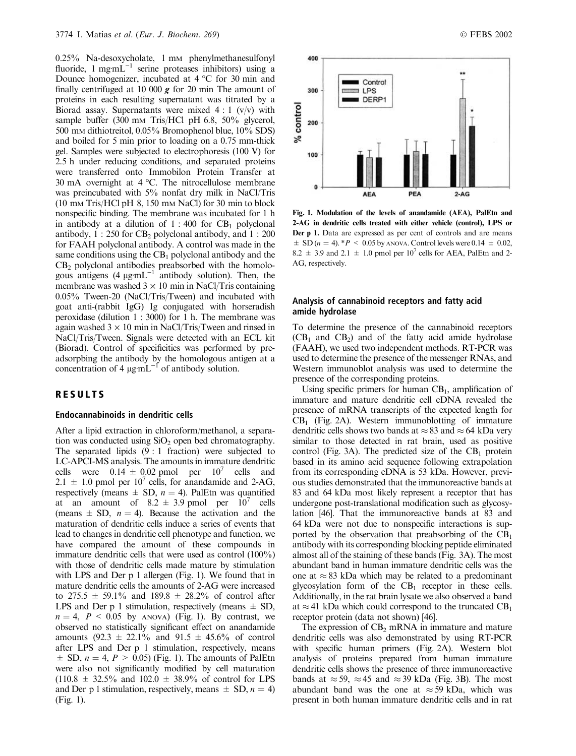0.25% Na-desoxycholate, 1 mm phenylmethanesulfonyl fluoride, 1 mgmL<sup>-1</sup> serine proteases inhibitors) using a Dounce homogenizer, incubated at  $4^{\circ}$ C for 30 min and finally centrifuged at 10 000  $g$  for 20 min The amount of proteins in each resulting supernatant was titrated by a Biorad assay. Supernatants were mixed  $4:1$  (v/v) with sample buffer (300 mm Tris/HCl pH 6.8, 50% glycerol, 500 mM dithiotreitol, 0.05% Bromophenol blue, 10% SDS) and boiled for 5 min prior to loading on a 0.75 mm-thick gel. Samples were subjected to electrophoresis (100 V) for 2.5 h under reducing conditions, and separated proteins were transferred onto Immobilon Protein Transfer at 30 mA overnight at  $4^{\circ}$ C. The nitrocellulose membrane was preincubated with 5% nonfat dry milk in NaCl/Tris  $(10 \text{ mm Tris/HCl pH } 8, 150 \text{ mm NaCl})$  for 30 min to block nonspecific binding. The membrane was incubated for 1 h in antibody at a dilution of  $1:400$  for  $CB<sub>1</sub>$  polyclonal antibody,  $1: 250$  for CB<sub>2</sub> polyclonal antibody, and  $1: 200$ for FAAH polyclonal antibody. A control was made in the same conditions using the  $CB_1$  polyclonal antibody and the  $CB<sub>2</sub>$  polyclonal antibodies preabsorbed with the homologous antigens  $(4 \mu g \text{mL}^{-1})$  antibody solution). Then, the membrane was washed  $3 \times 10$  min in NaCl/Tris containing 0.05% Tween-20 (NaCl/Tris/Tween) and incubated with goat anti-(rabbit IgG) Ig conjugated with horseradish peroxidase (dilution 1 : 3000) for 1 h. The membrane was again washed  $3 \times 10$  min in NaCl/Tris/Tween and rinsed in NaCl/Tris/Tween. Signals were detected with an ECL kit (Biorad). Control of specificities was performed by preadsorpbing the antibody by the homologous antigen at a concentration of 4  $\mu$ g·mL<sup>-1</sup> of antibody solution.

## RESULTS

#### Endocannabinoids in dendritic cells

After a lipid extraction in chloroform/methanol, a separation was conducted using  $SiO<sub>2</sub>$  open bed chromatography. The separated lipids  $(9:1$  fraction) were subjected to LC-APCI-MS analysis. The amounts in immature dendritic cells were  $0.14 \pm 0.02$  pmol per  $10^7$  cells and  $2.1 \pm 1.0$  pmol per  $10^7$  cells, for anandamide and 2-AG, respectively (means  $\pm$  SD,  $n = 4$ ). PalEtn was quantified at an amount of  $8.2 \pm 3.9$  pmol per  $10^7$  cells (means  $\pm$  SD,  $n = 4$ ). Because the activation and the maturation of dendritic cells induce a series of events that lead to changes in dendritic cell phenotype and function, we have compared the amount of these compounds in immature dendritic cells that were used as control (100%) with those of dendritic cells made mature by stimulation with LPS and Der p 1 allergen (Fig. 1). We found that in mature dendritic cells the amounts of 2-AG were increased to  $275.5 \pm 59.1\%$  and  $189.8 \pm 28.2\%$  of control after LPS and Der p 1 stimulation, respectively (means  $\pm$  SD,  $n = 4$ ,  $P < 0.05$  by ANOVA) (Fig. 1). By contrast, we observed no statistically significant effect on anandamide amounts (92.3  $\pm$  22.1% and 91.5  $\pm$  45.6% of control after LPS and Der p 1 stimulation, respectively, means  $\pm$  SD,  $n = 4$ ,  $P > 0.05$ ) (Fig. 1). The amounts of PalEtn were also not significantly modified by cell maturation  $(110.8 \pm 32.5\%$  and  $102.0 \pm 38.9\%$  of control for LPS and Der p 1 stimulation, respectively, means  $\pm$  SD,  $n = 4$ ) (Fig. 1).



Fig. 1. Modulation of the levels of anandamide (AEA), PalEtn and 2-AG in dendritic cells treated with either vehicle (control), LPS or Der p 1. Data are expressed as per cent of controls and are means  $\pm$  SD (n = 4). \*P < 0.05 by ANOVA. Control levels were 0.14  $\pm$  0.02, 8.2  $\pm$  3.9 and 2.1  $\pm$  1.0 pmol per 10<sup>7</sup> cells for AEA, PalEtn and 2-AG, respectively.

#### Analysis of cannabinoid receptors and fatty acid amide hydrolase

To determine the presence of the cannabinoid receptors  $(CB<sub>1</sub>$  and  $CB<sub>2</sub>$ ) and of the fatty acid amide hydrolase (FAAH), we used two independent methods. RT-PCR was used to determine the presence of the messenger RNAs, and Western immunoblot analysis was used to determine the presence of the corresponding proteins.

Using specific primers for human  $CB<sub>1</sub>$ , amplification of immature and mature dendritic cell cDNA revealed the presence of mRNA transcripts of the expected length for  $CB<sub>1</sub>$  (Fig. 2A). Western immunoblotting of immature dendritic cells shows two bands at  $\approx$  83 and  $\approx$  64 kDa very similar to those detected in rat brain, used as positive control (Fig. 3A). The predicted size of the  $CB_1$  protein based in its amino acid sequence following extrapolation from its corresponding cDNA is 53 kDa. However, previous studies demonstrated that the immunoreactive bands at 83 and 64 kDa most likely represent a receptor that has undergone post-translational modification such as glycosylation [46]. That the immunoreactive bands at 83 and 64 kDa were not due to nonspecific interactions is supported by the observation that preabsorbing of the  $CB<sub>1</sub>$ antibody with its corresponding blocking peptide eliminated almost all of the staining of these bands (Fig. 3A). The most abundant band in human immature dendritic cells was the one at  $\approx 83$  kDa which may be related to a predominant glycosylation form of the  $CB_1$  receptor in these cells. Additionally, in the rat brain lysate we also observed a band at  $\approx$  41 kDa which could correspond to the truncated CB<sub>1</sub> receptor protein (data not shown) [46].

The expression of  $CB<sub>2</sub>$  mRNA in immature and mature dendritic cells was also demonstrated by using RT-PCR with specific human primers (Fig. 2A). Western blot analysis of proteins prepared from human immature dendritic cells shows the presence of three immunoreactive bands at  $\approx$  59,  $\approx$  45 and  $\approx$  39 kDa (Fig. 3B). The most abundant band was the one at  $\approx$  59 kDa, which was present in both human immature dendritic cells and in rat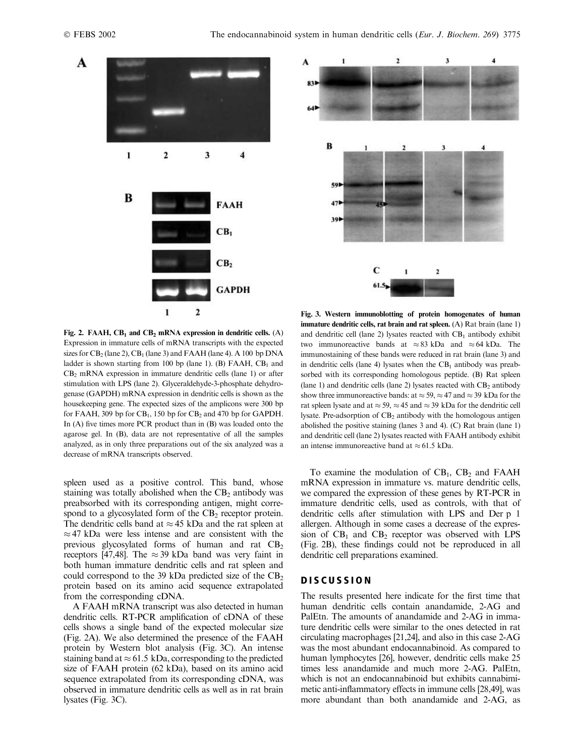



Fig. 2. FAAH,  $CB_1$  and  $CB_2$  mRNA expression in dendritic cells. (A) Expression in immature cells of mRNA transcripts with the expected sizes for  $CB_2$  (lane 2),  $CB_1$  (lane 3) and FAAH (lane 4). A 100 bp DNA ladder is shown starting from 100 bp (lane 1). (B) FAAH,  $CB<sub>1</sub>$  and  $CB<sub>2</sub>$  mRNA expression in immature dendritic cells (lane 1) or after stimulation with LPS (lane 2). Glyceraldehyde-3-phosphate dehydrogenase (GAPDH) mRNA expression in dendritic cells is shown as the housekeeping gene. The expected sizes of the amplicons were 300 bp for FAAH, 309 bp for  $CB_1$ , 150 bp for  $CB_2$  and 470 bp for GAPDH. In (A) five times more PCR product than in (B) was loaded onto the agarose gel. In (B), data are not representative of all the samples analyzed, as in only three preparations out of the six analyzed was a decrease of mRNA transcripts observed.

spleen used as a positive control. This band, whose staining was totally abolished when the  $CB<sub>2</sub>$  antibody was preabsorbed with its corresponding antigen, might correspond to a glycosylated form of the  $CB<sub>2</sub>$  receptor protein. The dendritic cells band at  $\approx$  45 kDa and the rat spleen at  $\approx$  47 kDa were less intense and are consistent with the previous glycosylated forms of human and rat  $CB<sub>2</sub>$ receptors [47,48]. The  $\approx 39$  kDa band was very faint in both human immature dendritic cells and rat spleen and could correspond to the 39 kDa predicted size of the  $CB<sub>2</sub>$ protein based on its amino acid sequence extrapolated from the corresponding cDNA.

A FAAH mRNA transcript was also detected in human dendritic cells. RT-PCR amplification of cDNA of these cells shows a single band of the expected molecular size (Fig. 2A). We also determined the presence of the FAAH protein by Western blot analysis (Fig. 3C). An intense staining band at  $\approx$  61.5 kDa, corresponding to the predicted size of FAAH protein (62 kDa), based on its amino acid sequence extrapolated from its corresponding cDNA, was observed in immature dendritic cells as well as in rat brain lysates (Fig. 3C).

Fig. 3. Western immunoblotting of protein homogenates of human immature dendritic cells, rat brain and rat spleen.  $(A)$  Rat brain (lane 1) and dendritic cell (lane 2) lysates reacted with  $CB_1$  antibody exhibit two immunoreactive bands at  $\approx 83$  kDa and  $\approx 64$  kDa. The immunostaining of these bands were reduced in rat brain (lane 3) and in dendritic cells (lane 4) lysates when the  $CB<sub>1</sub>$  antibody was preabsorbed with its corresponding homologous peptide. (B) Rat spleen (lane 1) and dendritic cells (lane 2) lysates reacted with  $CB<sub>2</sub>$  antibody show three immunoreactive bands: at  $\approx$  59,  $\approx$  47 and  $\approx$  39 kDa for the rat spleen lysate and at  $\approx$  59,  $\approx$  45 and  $\approx$  39 kDa for the dendritic cell lysate. Pre-adsorption of  $CB_2$  antibody with the homologous antigen abolished the positive staining (lanes 3 and 4). (C) Rat brain (lane 1) and dendritic cell (lane 2) lysates reacted with FAAH antibody exhibit an intense immunoreactive band at  $\approx 61.5$  kDa.

To examine the modulation of  $CB<sub>1</sub>$ ,  $CB<sub>2</sub>$  and FAAH mRNA expression in immature vs. mature dendritic cells, we compared the expression of these genes by RT-PCR in immature dendritic cells, used as controls, with that of dendritic cells after stimulation with LPS and Der p 1 allergen. Although in some cases a decrease of the expression of  $CB_1$  and  $CB_2$  receptor was observed with LPS (Fig. 2B), these findings could not be reproduced in all dendritic cell preparations examined.

#### **DISCUSSION**

The results presented here indicate for the first time that human dendritic cells contain anandamide, 2-AG and PalEtn. The amounts of anandamide and 2-AG in immature dendritic cells were similar to the ones detected in rat circulating macrophages [21,24], and also in this case 2-AG was the most abundant endocannabinoid. As compared to human lymphocytes [26], however, dendritic cells make 25 times less anandamide and much more 2-AG. PalEtn, which is not an endocannabinoid but exhibits cannabimimetic anti-inflammatory effects in immune cells [28,49], was more abundant than both anandamide and 2-AG, as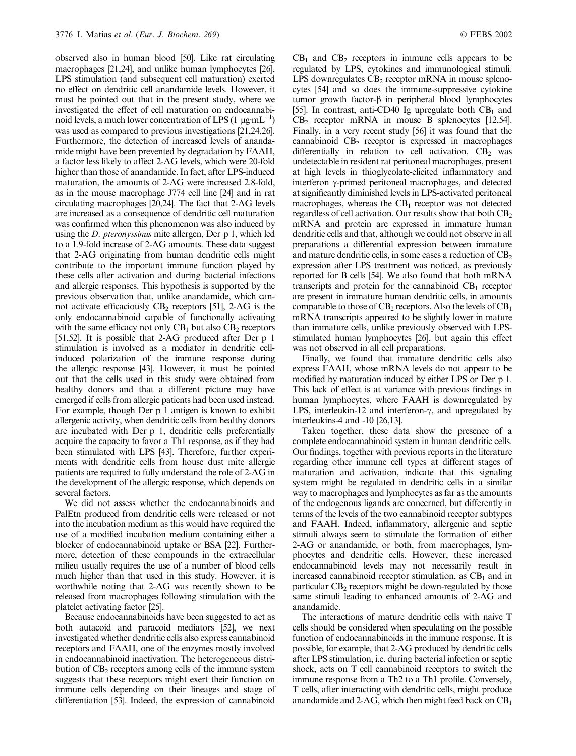observed also in human blood [50]. Like rat circulating macrophages [21,24], and unlike human lymphocytes [26], LPS stimulation (and subsequent cell maturation) exerted no effect on dendritic cell anandamide levels. However, it must be pointed out that in the present study, where we investigated the effect of cell maturation on endocannabinoid levels, a much lower concentration of LPS  $(1 \mu g m L^{-1})$ was used as compared to previous investigations [21,24,26]. Furthermore, the detection of increased levels of anandamide might have been prevented by degradation by FAAH, a factor less likely to affect 2-AG levels, which were 20-fold higher than those of anandamide. In fact, after LPS-induced maturation, the amounts of 2-AG were increased 2.8-fold, as in the mouse macrophage J774 cell line [24] and in rat circulating macrophages [20,24]. The fact that 2-AG levels are increased as a consequence of dendritic cell maturation was confirmed when this phenomenon was also induced by using the D. pteronyssinus mite allergen, Der p 1, which led to a 1.9-fold increase of 2-AG amounts. These data suggest that 2-AG originating from human dendritic cells might contribute to the important immune function played by these cells after activation and during bacterial infections and allergic responses. This hypothesis is supported by the previous observation that, unlike anandamide, which cannot activate efficaciously  $CB_2$  receptors [51], 2-AG is the only endocannabinoid capable of functionally activating with the same efficacy not only  $CB_1$  but also  $CB_2$  receptors [51,52]. It is possible that 2-AG produced after Der p 1 stimulation is involved as a mediator in dendritic cellinduced polarization of the immune response during the allergic response [43]. However, it must be pointed out that the cells used in this study were obtained from healthy donors and that a different picture may have emerged if cells from allergic patients had been used instead. For example, though Der p 1 antigen is known to exhibit allergenic activity, when dendritic cells from healthy donors are incubated with Der p 1, dendritic cells preferentially acquire the capacity to favor a Th1 response, as if they had been stimulated with LPS [43]. Therefore, further experiments with dendritic cells from house dust mite allergic patients are required to fully understand the role of 2-AG in the development of the allergic response, which depends on several factors.

We did not assess whether the endocannabinoids and PalEtn produced from dendritic cells were released or not into the incubation medium as this would have required the use of a modified incubation medium containing either a blocker of endocannabinoid uptake or BSA [22]. Furthermore, detection of these compounds in the extracellular milieu usually requires the use of a number of blood cells much higher than that used in this study. However, it is worthwhile noting that 2-AG was recently shown to be released from macrophages following stimulation with the platelet activating factor [25].

Because endocannabinoids have been suggested to act as both autacoid and paracoid mediators [52], we next investigated whether dendritic cells also express cannabinoid receptors and FAAH, one of the enzymes mostly involved in endocannabinoid inactivation. The heterogeneous distribution of  $CB<sub>2</sub>$  receptors among cells of the immune system suggests that these receptors might exert their function on immune cells depending on their lineages and stage of differentiation [53]. Indeed, the expression of cannabinoid

 $CB<sub>1</sub>$  and  $CB<sub>2</sub>$  receptors in immune cells appears to be regulated by LPS, cytokines and immunological stimuli. LPS downregulates  $CB_2$  receptor mRNA in mouse splenocytes [54] and so does the immune-suppressive cytokine tumor growth factor- $\beta$  in peripheral blood lymphocytes [55]. In contrast, anti-CD40 Ig upregulate both  $CB<sub>1</sub>$  and  $CB<sub>2</sub>$  receptor mRNA in mouse B splenocytes [12,54]. Finally, in a very recent study [56] it was found that the cannabinoid  $CB<sub>2</sub>$  receptor is expressed in macrophages differentially in relation to cell activation.  $CB<sub>2</sub>$  was undetectable in resident rat peritoneal macrophages, present at high levels in thioglycolate-elicited inflammatory and interferon  $\gamma$ -primed peritoneal macrophages, and detected at significantly diminished levels in LPS-activated peritoneal macrophages, whereas the  $CB_1$  receptor was not detected regardless of cell activation. Our results show that both  $CB<sub>2</sub>$ mRNA and protein are expressed in immature human dendritic cells and that, although we could not observe in all preparations a differential expression between immature and mature dendritic cells, in some cases a reduction of  $CB<sub>2</sub>$ expression after LPS treatment was noticed, as previously reported for B cells [54]. We also found that both mRNA transcripts and protein for the cannabinoid  $CB_1$  receptor are present in immature human dendritic cells, in amounts comparable to those of  $CB_2$  receptors. Also the levels of  $CB_1$ mRNA transcripts appeared to be slightly lower in mature than immature cells, unlike previously observed with LPSstimulated human lymphocytes [26], but again this effect was not observed in all cell preparations.

Finally, we found that immature dendritic cells also express FAAH, whose mRNA levels do not appear to be modified by maturation induced by either LPS or Der p 1. This lack of effect is at variance with previous findings in human lymphocytes, where FAAH is downregulated by LPS, interleukin-12 and interferon- $\gamma$ , and upregulated by interleukins-4 and -10 [26,13].

Taken together, these data show the presence of a complete endocannabinoid system in human dendritic cells. Our findings, together with previous reports in the literature regarding other immune cell types at different stages of maturation and activation, indicate that this signaling system might be regulated in dendritic cells in a similar way to macrophages and lymphocytes as far as the amounts of the endogenous ligands are concerned, but differently in terms of the levels of the two cannabinoid receptor subtypes and FAAH. Indeed, inflammatory, allergenic and septic stimuli always seem to stimulate the formation of either 2-AG or anandamide, or both, from macrophages, lymphocytes and dendritic cells. However, these increased endocannabinoid levels may not necessarily result in increased cannabinoid receptor stimulation, as  $CB<sub>1</sub>$  and in particular  $CB<sub>2</sub>$  receptors might be down-regulated by those same stimuli leading to enhanced amounts of 2-AG and anandamide.

The interactions of mature dendritic cells with naive T cells should be considered when speculating on the possible function of endocannabinoids in the immune response. It is possible, for example, that 2-AG produced by dendritic cells after LPS stimulation, i.e. during bacterial infection or septic shock, acts on T cell cannabinoid receptors to switch the immune response from a Th2 to a Th1 profile. Conversely, T cells, after interacting with dendritic cells, might produce anandamide and 2-AG, which then might feed back on  $CB<sub>1</sub>$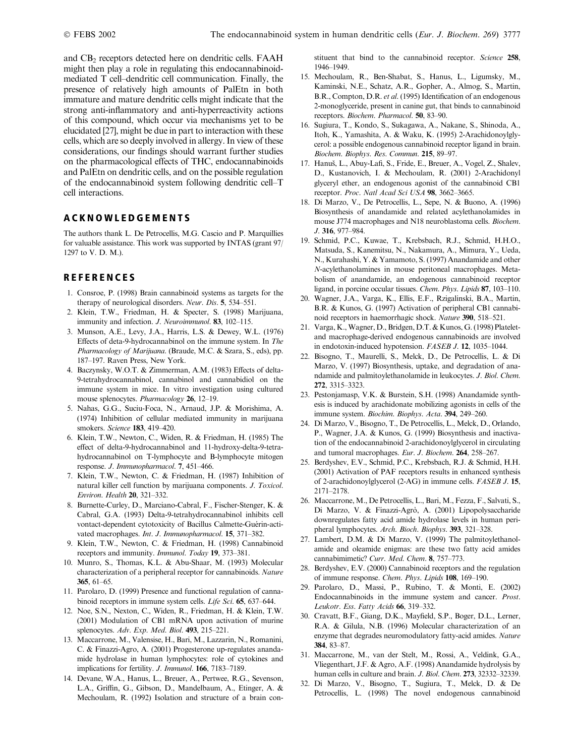and CB<sub>2</sub> receptors detected here on dendritic cells. FAAH might then play a role in regulating this endocannabinoidmediated T cell–dendritic cell communication. Finally, the presence of relatively high amounts of PalEtn in both immature and mature dendritic cells might indicate that the strong anti-inflammatory and anti-hyperreactivity actions of this compound, which occur via mechanisms yet to be elucidated [27], might be due in part to interaction with these cells, which are so deeply involved in allergy. In view of these considerations, our findings should warrant further studies on the pharmacological effects of THC, endocannabinoids and PalEtn on dendritic cells, and on the possible regulation of the endocannabinoid system following dendritic cell–T cell interactions.

# ACKNOWLEDGEMENTS

The authors thank L. De Petrocellis, M.G. Cascio and P. Marquillies for valuable assistance. This work was supported by INTAS (grant 97/ 1297 to V. D. M.).

# **REFERENCES**

- 1. Consroe, P. (1998) Brain cannabinoid systems as targets for the therapy of neurological disorders. Neur. Dis. 5, 534–551.
- 2. Klein, T.W., Friedman, H. & Specter, S. (1998) Marijuana, immunity and infection. J. Neuroimmunol. 83, 102-115.
- 3. Munson, A.E., Levy, J.A., Harris, L.S. & Dewey, W.L. (1976) Effects of deta-9-hydrocannabinol on the immune system. In The Pharmacology of Marijuana. (Braude, M.C. & Szara, S., eds), pp. 187–197. Raven Press, New York.
- 4. Baczynsky, W.O.T. & Zimmerman, A.M. (1983) Effects of delta-9-tetrahydrocannabinol, cannabinol and cannabidiol on the immune system in mice. In vitro investigation using cultured mouse splenocytes. Pharmacology 26, 12–19.
- 5. Nahas, G.G., Suciu-Foca, N., Arnaud, J.P. & Morishima, A. (1974) Inhibition of cellular mediated immunity in marijuana smokers. Science 183, 419–420.
- 6. Klein, T.W., Newton, C., Widen, R. & Friedman, H. (1985) The effect of delta-9-hydrocannabinol and 11-hydroxy-delta-9-tetrahydrocannabinol on T-lymphocyte and B-lymphocyte mitogen response. J. Immunopharmacol. 7, 451–466.
- 7. Klein, T.W., Newton, C. & Friedman, H. (1987) Inhibition of natural killer cell function by marijuana components. J. Toxicol. Environ. Health 20, 321–332.
- 8. Burnette-Curley, D., Marciano-Cabral, F., Fischer-Stenger, K. & Cabral, G.A. (1993) Delta-9-tetrahydrocannabinol inhibits cell vontact-dependent cytotoxicity of Bacillus Calmette-Guerin-activated macrophages. Int. J. Immunopharmacol. 15, 371–382.
- 9. Klein, T.W., Newton, C. & Friedman, H. (1998) Cannabinoid receptors and immunity. Immunol. Today 19, 373–381.
- 10. Munro, S., Thomas, K.L. & Abu-Shaar, M. (1993) Molecular characterization of a peripheral receptor for cannabinoids. Nature 365, 61–65.
- 11. Parolaro, D. (1999) Presence and functional regulation of cannabinoid receptors in immune system cells. Life Sci. 65, 637–644.
- 12. Noe, S.N., Nexton, C., Widen, R., Friedman, H. & Klein, T.W. (2001) Modulation of CB1 mRNA upon activation of murine splenocytes. Adv. Exp. Med. Biol. 493, 215–221.
- 13. Maccarrone, M., Valensise, H., Bari, M., Lazzarin, N., Romanini, C. & Finazzi-Agro, A. (2001) Progesterone up-regulates anandamide hydrolase in human lymphocytes: role of cytokines and implications for fertility. J. Immunol. 166, 7183–7189.
- 14. Devane, W.A., Hanus, L., Breuer, A., Pertwee, R.G., Sevenson, L.A., Griffin, G., Gibson, D., Mandelbaum, A., Etinger, A. & Mechoulam, R. (1992) Isolation and structure of a brain con-

stituent that bind to the cannabinoid receptor. Science 258, 1946–1949.

- 15. Mechoulam, R., Ben-Shabat, S., Hanus, L., Ligumsky, M., Kaminski, N.E., Schatz, A.R., Gopher, A., Almog, S., Martin, B.R., Compton, D.R. et al. (1995) Identification of an endogenous 2-monoglyceride, present in canine gut, that binds to cannabinoid receptors. Biochem. Pharmacol. 50, 83-90.
- 16. Sugiura, T., Kondo, S., Sukagawa, A., Nakane, S., Shinoda, A., Itoh, K., Yamashita, A. & Waku, K. (1995) 2-Arachidonoylglycerol: a possible endogenous cannabinoid receptor ligand in brain. Biochem. Biophys. Res. Commun. 215, 89–97.
- 17. Hanuš, L., Abuy-Lafi, S., Fride, E., Breuer, A., Vogel, Z., Shalev, D., Kustanovich, I. & Mechoulam, R. (2001) 2-Arachidonyl glyceryl ether, an endogenous agonist of the cannabinoid CB1 receptor. Proc. Natl Acad Sci USA 98, 3662-3665.
- 18. Di Marzo, V., De Petrocellis, L., Sepe, N. & Buono, A. (1996) Biosynthesis of anandamide and related acylethanolamides in mouse J774 macrophages and N18 neuroblastoma cells. Biochem. J. 316, 977–984.
- 19. Schmid, P.C., Kuwae, T., Krebsbach, R.J., Schmid, H.H.O., Matsuda, S., Kanemitsu, N., Nakamura, A., Mimura, Y., Ueda, N., Kurahashi, Y. & Yamamoto, S. (1997) Anandamide and other N-acylethanolamines in mouse peritoneal macrophages. Metabolism of anandamide, an endogenous cannabinoid receptor ligand, in porcine occular tissues. Chem. Phys. Lipids 87, 103–110.
- 20. Wagner, J.A., Varga, K., Ellis, E.F., Rzigalinski, B.A., Martin, B.R. & Kunos, G. (1997) Activation of peripheral CB1 cannabinoid receptors in haemorrhagic shock. Nature 390, 518–521.
- 21. Varga, K., Wagner, D., Bridgen, D.T. & Kunos, G. (1998) Plateletand macrophage-derived endogenous cannabinoids are involved in endotoxin-induced hypotension. FASEB J. 12, 1035-1044.
- 22. Bisogno, T., Maurelli, S., Melck, D., De Petrocellis, L. & Di Marzo, V. (1997) Biosynthesis, uptake, and degradation of anandamide and palmitoylethanolamide in leukocytes. J. Biol. Chem. 272, 3315–3323.
- 23. Pestonjamasp, V.K. & Burstein, S.H. (1998) Anandamide synthesis is induced by arachidonate mobilizing agonists in cells of the immune system. Biochim. Biophys. Acta. 394, 249–260.
- 24. Di Marzo, V., Bisogno, T., De Petrocellis, L., Melck, D., Orlando, P., Wagner, J.A. & Kunos, G. (1999) Biosynthesis and inactivation of the endocannabinoid 2-arachidonoylglycerol in circulating and tumoral macrophages. Eur. J. Biochem. 264, 258–267.
- 25. Berdyshev, E.V., Schmid, P.C., Krebsbach, R.J. & Schmid, H.H. (2001) Activation of PAF receptors results in enhanced synthesis of 2-arachidonoylglycerol (2-AG) in immune cells. FASEB J. 15, 2171–2178.
- 26. Maccarrone, M., De Petrocellis, L., Bari, M., Fezza, F., Salvati, S., Di Marzo, V. & Finazzi-Agrò, A. (2001) Lipopolysaccharide downregulates fatty acid amide hydrolase levels in human peripheral lymphocytes. Arch. Bioch. Biophys. 393, 321–328.
- 27. Lambert, D.M. & Di Marzo, V. (1999) The palmitoylethanolamide and oleamide enigmas: are these two fatty acid amides cannabimimetic? Curr. Med. Chem. 8, 757–773.
- 28. Berdyshev, E.V. (2000) Cannabinoid receptors and the regulation of immune response. Chem. Phys. Lipids 108, 169-190.
- 29. Parolaro, D., Massi, P., Rubino, T. & Monti, E. (2002) Endocannabinoids in the immune system and cancer. Prost. Leukotr. Ess. Fatty Acids 66, 319-332.
- 30. Cravatt, B.F., Giang, D.K., Mayfield, S.P., Boger, D.L., Lerner, R.A. & Gilula, N.B. (1996) Molecular characterization of an enzyme that degrades neuromodulatory fatty-acid amides. Nature 384, 83–87.
- 31. Maccarrone, M., van der Stelt, M., Rossi, A., Veldink, G.A., Vliegenthart, J.F. & Agro, A.F. (1998) Anandamide hydrolysis by human cells in culture and brain. J. Biol. Chem. 273, 32332–32339.
- 32. Di Marzo, V., Bisogno, T., Sugiura, T., Melck, D. & De Petrocellis, L. (1998) The novel endogenous cannabinoid